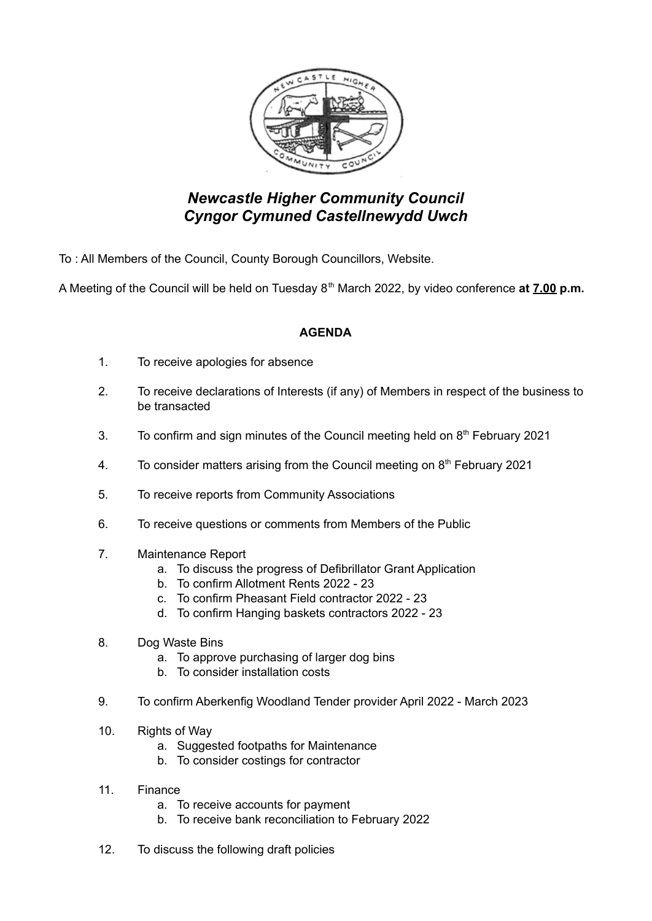

## *Newcastle Higher Community Council Cyngor Cymuned Castellnewydd Uwch*

To : All Members of the Council, County Borough Councillors, Website.

A Meeting of the Council will be held on Tuesday 8 th March 2022, by video conference **at 7.00 p.m.**

## **AGENDA**

- 1. To receive apologies for absence
- 2. To receive declarations of Interests (if any) of Members in respect of the business to be transacted
- 3. To confirm and sign minutes of the Council meeting held on  $8<sup>th</sup>$  February 2021
- 4. To consider matters arising from the Council meeting on  $8<sup>th</sup>$  February 2021
- 5. To receive reports from Community Associations
- 6. To receive questions or comments from Members of the Public
- 7. Maintenance Report
	- a. To discuss the progress of Defibrillator Grant Application
	- b. To confirm Allotment Rents 2022 23
	- c. To confirm Pheasant Field contractor 2022 23
	- d. To confirm Hanging baskets contractors 2022 23
- 8. Dog Waste Bins
	- a. To approve purchasing of larger dog bins
	- b. To consider installation costs
- 9. To confirm Aberkenfig Woodland Tender provider April 2022 March 2023
- 10. Rights of Way
	- a. Suggested footpaths for Maintenance
	- b. To consider costings for contractor
- 11. Finance
	- a. To receive accounts for payment
	- b. To receive bank reconciliation to February 2022
- 12. To discuss the following draft policies